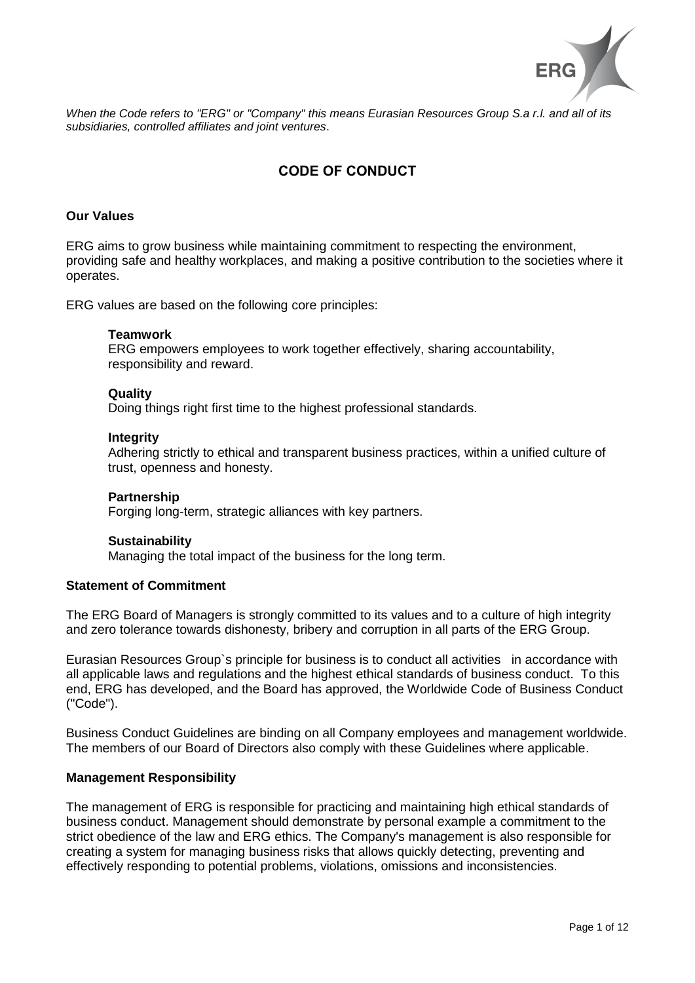

When the Code refers to "ERG" or "Company" this means Eurasian Resources Group S.a r.l. and all of its *subsidiaries, controlled affiliates and joint ventures*.

# **CODE OF CONDUCT**

## **Our Values**

ERG aims to grow business while maintaining commitment to respecting the environment, providing safe and healthy workplaces, and making a positive contribution to the societies where it operates.

ERG values are based on the following core principles:

#### **Teamwork**

ERG empowers employees to work together effectively, sharing accountability, responsibility and reward.

#### **Quality**

Doing things right first time to the highest professional standards.

#### **Integrity**

Adhering strictly to ethical and transparent business practices, within a unified culture of trust, openness and honesty.

#### **Partnership**

Forging long-term, strategic alliances with key partners.

## **Sustainability**

Managing the total impact of the business for the long term.

## **Statement of Commitment**

The ERG Board of Managers is strongly committed to its values and to a culture of high integrity and zero tolerance towards dishonesty, bribery and corruption in all parts of the ERG Group.

Eurasian Resources Group`s principle for business is to conduct all activities in accordance with all applicable laws and regulations and the highest ethical standards of business conduct. To this end, ERG has developed, and the Board has approved, the Worldwide Code of Business Conduct ("Code").

Business Conduct Guidelines are binding on all Company employees and management worldwide. The members of our Board of Directors also comply with these Guidelines where applicable.

## **Management Responsibility**

The management of ERG is responsible for practicing and maintaining high ethical standards of business conduct. Management should demonstrate by personal example a commitment to the strict obedience of the law and ERG ethics. The Company's management is also responsible for creating a system for managing business risks that allows quickly detecting, preventing and effectively responding to potential problems, violations, omissions and inconsistencies.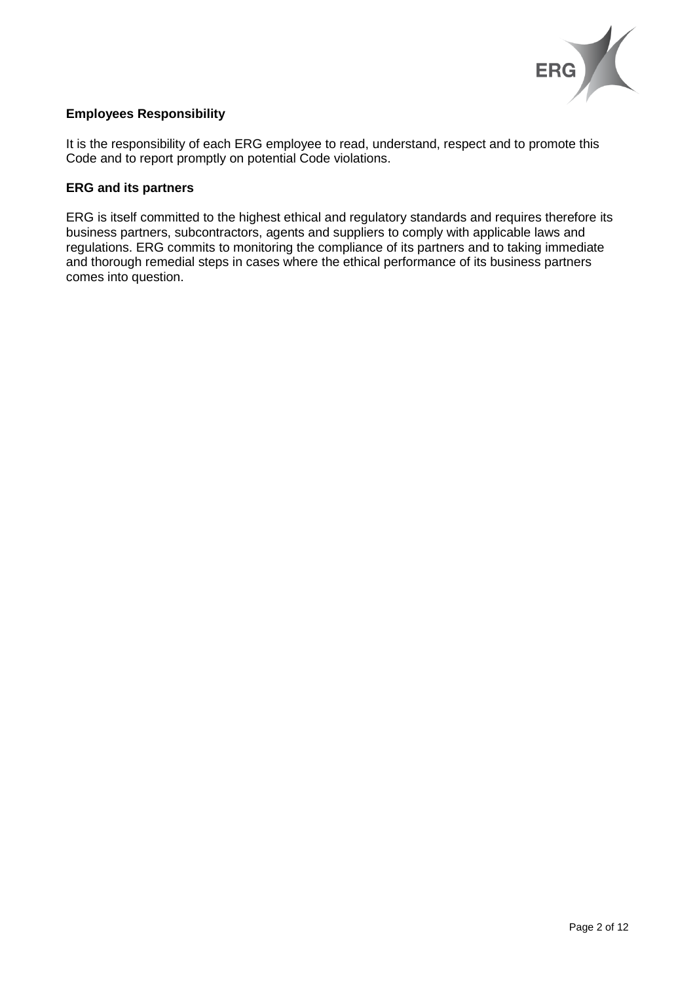

# **Employees Responsibility**

It is the responsibility of each ERG employee to read, understand, respect and to promote this Code and to report promptly on potential Code violations.

# **ERG and its partners**

ERG is itself committed to the highest ethical and regulatory standards and requires therefore its business partners, subcontractors, agents and suppliers to comply with applicable laws and regulations. ERG commits to monitoring the compliance of its partners and to taking immediate and thorough remedial steps in cases where the ethical performance of its business partners comes into question.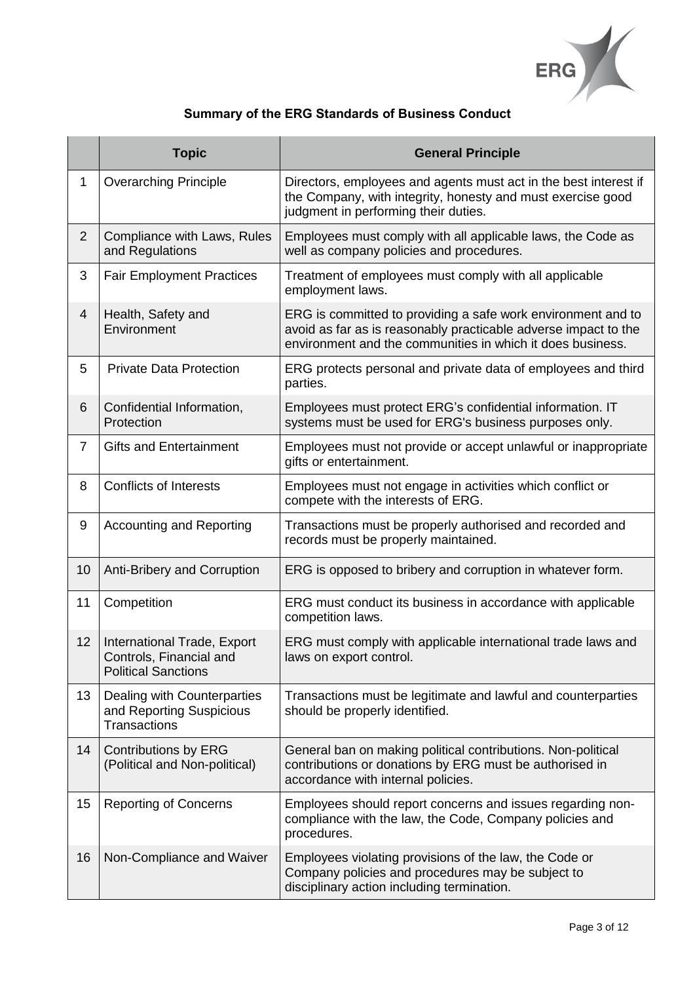

# **Summary of the ERG Standards of Business Conduct**

|                | <b>Topic</b>                                                                         | <b>General Principle</b>                                                                                                                                                                      |
|----------------|--------------------------------------------------------------------------------------|-----------------------------------------------------------------------------------------------------------------------------------------------------------------------------------------------|
| $\mathbf 1$    | <b>Overarching Principle</b>                                                         | Directors, employees and agents must act in the best interest if<br>the Company, with integrity, honesty and must exercise good<br>judgment in performing their duties.                       |
| $\overline{2}$ | Compliance with Laws, Rules<br>and Regulations                                       | Employees must comply with all applicable laws, the Code as<br>well as company policies and procedures.                                                                                       |
| 3              | <b>Fair Employment Practices</b>                                                     | Treatment of employees must comply with all applicable<br>employment laws.                                                                                                                    |
| $\overline{4}$ | Health, Safety and<br>Environment                                                    | ERG is committed to providing a safe work environment and to<br>avoid as far as is reasonably practicable adverse impact to the<br>environment and the communities in which it does business. |
| 5              | <b>Private Data Protection</b>                                                       | ERG protects personal and private data of employees and third<br>parties.                                                                                                                     |
| 6              | Confidential Information,<br>Protection                                              | Employees must protect ERG's confidential information. IT<br>systems must be used for ERG's business purposes only.                                                                           |
| $\overline{7}$ | <b>Gifts and Entertainment</b>                                                       | Employees must not provide or accept unlawful or inappropriate<br>gifts or entertainment.                                                                                                     |
| 8              | <b>Conflicts of Interests</b>                                                        | Employees must not engage in activities which conflict or<br>compete with the interests of ERG.                                                                                               |
| 9              | <b>Accounting and Reporting</b>                                                      | Transactions must be properly authorised and recorded and<br>records must be properly maintained.                                                                                             |
| 10             | Anti-Bribery and Corruption                                                          | ERG is opposed to bribery and corruption in whatever form.                                                                                                                                    |
| 11             | Competition                                                                          | ERG must conduct its business in accordance with applicable<br>competition laws.                                                                                                              |
| 12             | International Trade, Export<br>Controls, Financial and<br><b>Political Sanctions</b> | ERG must comply with applicable international trade laws and<br>laws on export control.                                                                                                       |
| 13             | Dealing with Counterparties<br>and Reporting Suspicious<br>Transactions              | Transactions must be legitimate and lawful and counterparties<br>should be properly identified.                                                                                               |
| 14             | <b>Contributions by ERG</b><br>(Political and Non-political)                         | General ban on making political contributions. Non-political<br>contributions or donations by ERG must be authorised in<br>accordance with internal policies.                                 |
| 15             | <b>Reporting of Concerns</b>                                                         | Employees should report concerns and issues regarding non-<br>compliance with the law, the Code, Company policies and<br>procedures.                                                          |
| 16             | Non-Compliance and Waiver                                                            | Employees violating provisions of the law, the Code or<br>Company policies and procedures may be subject to<br>disciplinary action including termination.                                     |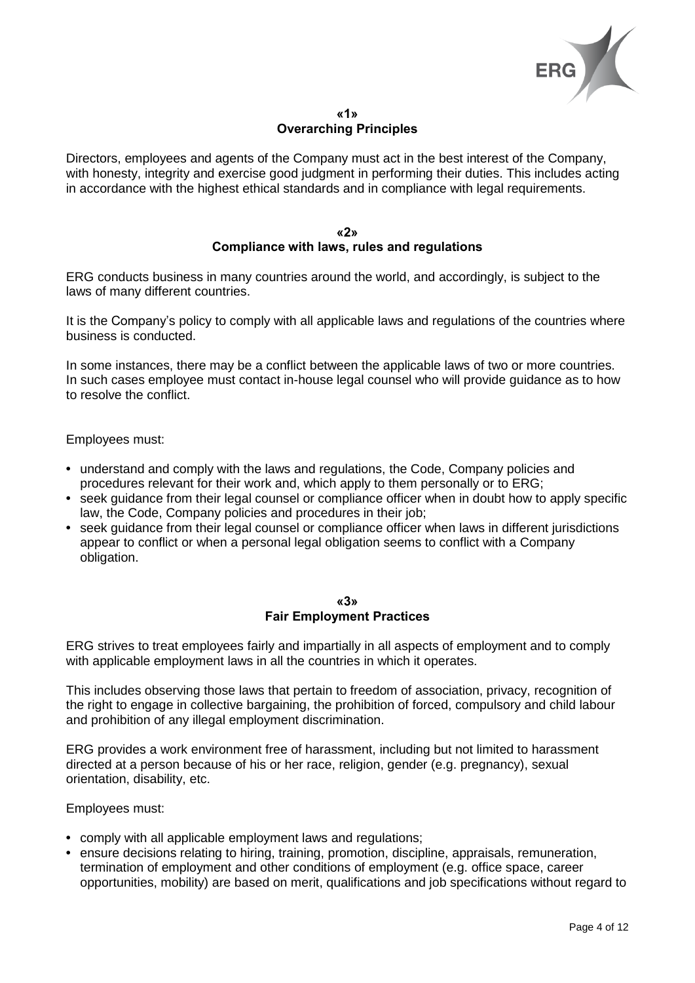

## **«1» Overarching Principles**

Directors, employees and agents of the Company must act in the best interest of the Company, with honesty, integrity and exercise good judgment in performing their duties. This includes acting in accordance with the highest ethical standards and in compliance with legal requirements.

## **«2» Compliance with laws, rules and regulations**

ERG conducts business in many countries around the world, and accordingly, is subject to the laws of many different countries.

It is the Company's policy to comply with all applicable laws and regulations of the countries where business is conducted.

In some instances, there may be a conflict between the applicable laws of two or more countries. In such cases employee must contact in-house legal counsel who will provide guidance as to how to resolve the conflict.

Employees must:

- **•** understand and comply with the laws and regulations, the Code, Company policies and procedures relevant for their work and, which apply to them personally or to ERG;
- seek quidance from their legal counsel or compliance officer when in doubt how to apply specific law, the Code, Company policies and procedures in their job;
- **•** seek guidance from their legal counsel or compliance officer when laws in different jurisdictions appear to conflict or when a personal legal obligation seems to conflict with a Company obligation.

## **«3» Fair Employment Practices**

ERG strives to treat employees fairly and impartially in all aspects of employment and to comply with applicable employment laws in all the countries in which it operates.

This includes observing those laws that pertain to freedom of association, privacy, recognition of the right to engage in collective bargaining, the prohibition of forced, compulsory and child labour and prohibition of any illegal employment discrimination.

ERG provides a work environment free of harassment, including but not limited to harassment directed at a person because of his or her race, religion, gender (e.g. pregnancy), sexual orientation, disability, etc.

- **•** comply with all applicable employment laws and regulations;
- **•** ensure decisions relating to hiring, training, promotion, discipline, appraisals, remuneration, termination of employment and other conditions of employment (e.g. office space, career opportunities, mobility) are based on merit, qualifications and job specifications without regard to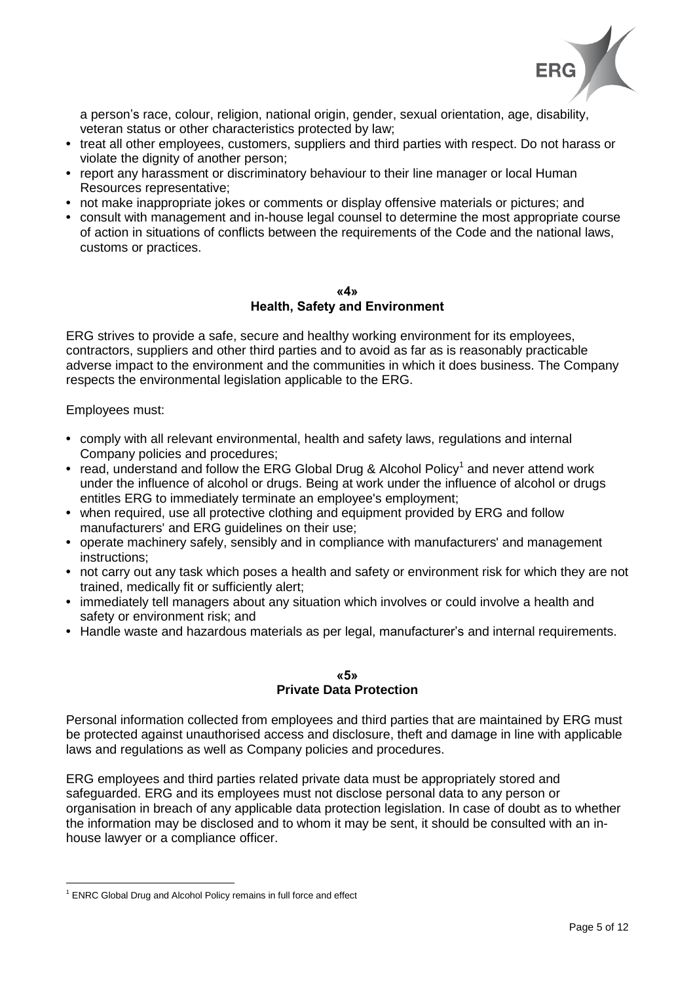

a person's race, colour, religion, national origin, gender, sexual orientation, age, disability, veteran status or other characteristics protected by law;

- **•** treat all other employees, customers, suppliers and third parties with respect. Do not harass or violate the dignity of another person;
- **•** report any harassment or discriminatory behaviour to their line manager or local Human Resources representative;
- **•** not make inappropriate jokes or comments or display offensive materials or pictures; and
- **•** consult with management and in-house legal counsel to determine the most appropriate course of action in situations of conflicts between the requirements of the Code and the national laws, customs or practices.

#### **«4» Health, Safety and Environment**

ERG strives to provide a safe, secure and healthy working environment for its employees, contractors, suppliers and other third parties and to avoid as far as is reasonably practicable adverse impact to the environment and the communities in which it does business. The Company respects the environmental legislation applicable to the ERG.

Employees must:

<u>.</u>

- **•** comply with all relevant environmental, health and safety laws, regulations and internal Company policies and procedures;
- read, understand and follow the ERG Global Drug & Alcohol Policy<sup>1</sup> and never attend work under the influence of alcohol or drugs. Being at work under the influence of alcohol or drugs entitles ERG to immediately terminate an employee's employment;
- **•** when required, use all protective clothing and equipment provided by ERG and follow manufacturers' and ERG guidelines on their use;
- **•** operate machinery safely, sensibly and in compliance with manufacturers' and management instructions;
- **•** not carry out any task which poses a health and safety or environment risk for which they are not trained, medically fit or sufficiently alert;
- **•** immediately tell managers about any situation which involves or could involve a health and safety or environment risk; and
- **•** Handle waste and hazardous materials as per legal, manufacturer's and internal requirements.

## **«5» Private Data Protection**

Personal information collected from employees and third parties that are maintained by ERG must be protected against unauthorised access and disclosure, theft and damage in line with applicable laws and regulations as well as Company policies and procedures.

ERG employees and third parties related private data must be appropriately stored and safeguarded. ERG and its employees must not disclose personal data to any person or organisation in breach of any applicable data protection legislation. In case of doubt as to whether the information may be disclosed and to whom it may be sent, it should be consulted with an inhouse lawyer or a compliance officer.

<sup>&</sup>lt;sup>1</sup> ENRC Global Drug and Alcohol Policy remains in full force and effect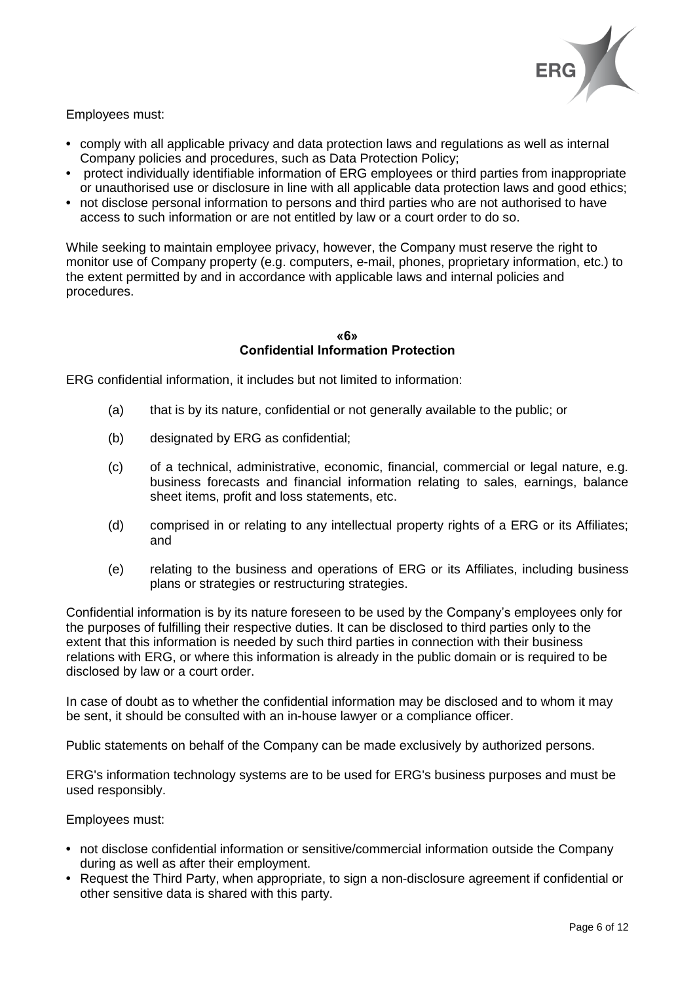

Employees must:

- **•** comply with all applicable privacy and data protection laws and regulations as well as internal Company policies and procedures, such as Data Protection Policy;
- **•** protect individually identifiable information of ERG employees or third parties from inappropriate or unauthorised use or disclosure in line with all applicable data protection laws and good ethics;
- **•** not disclose personal information to persons and third parties who are not authorised to have access to such information or are not entitled by law or a court order to do so.

While seeking to maintain employee privacy, however, the Company must reserve the right to monitor use of Company property (e.g. computers, e-mail, phones, proprietary information, etc.) to the extent permitted by and in accordance with applicable laws and internal policies and procedures.

## **«6» Confidential Information Protection**

ERG confidential information, it includes but not limited to information:

- (a) that is by its nature, confidential or not generally available to the public; or
- (b) designated by ERG as confidential;
- (c) of a technical, administrative, economic, financial, commercial or legal nature, e.g. business forecasts and financial information relating to sales, earnings, balance sheet items, profit and loss statements, etc.
- (d) comprised in or relating to any intellectual property rights of a ERG or its Affiliates; and
- (e) relating to the business and operations of ERG or its Affiliates, including business plans or strategies or restructuring strategies.

Confidential information is by its nature foreseen to be used by the Company's employees only for the purposes of fulfilling their respective duties. It can be disclosed to third parties only to the extent that this information is needed by such third parties in connection with their business relations with ERG, or where this information is already in the public domain or is required to be disclosed by law or a court order.

In case of doubt as to whether the confidential information may be disclosed and to whom it may be sent, it should be consulted with an in-house lawyer or a compliance officer.

Public statements on behalf of the Company can be made exclusively by authorized persons.

ERG's information technology systems are to be used for ERG's business purposes and must be used responsibly.

- **•** not disclose confidential information or sensitive/commercial information outside the Company during as well as after their employment.
- **•** Request the Third Party, when appropriate, to sign a non-disclosure agreement if confidential or other sensitive data is shared with this party.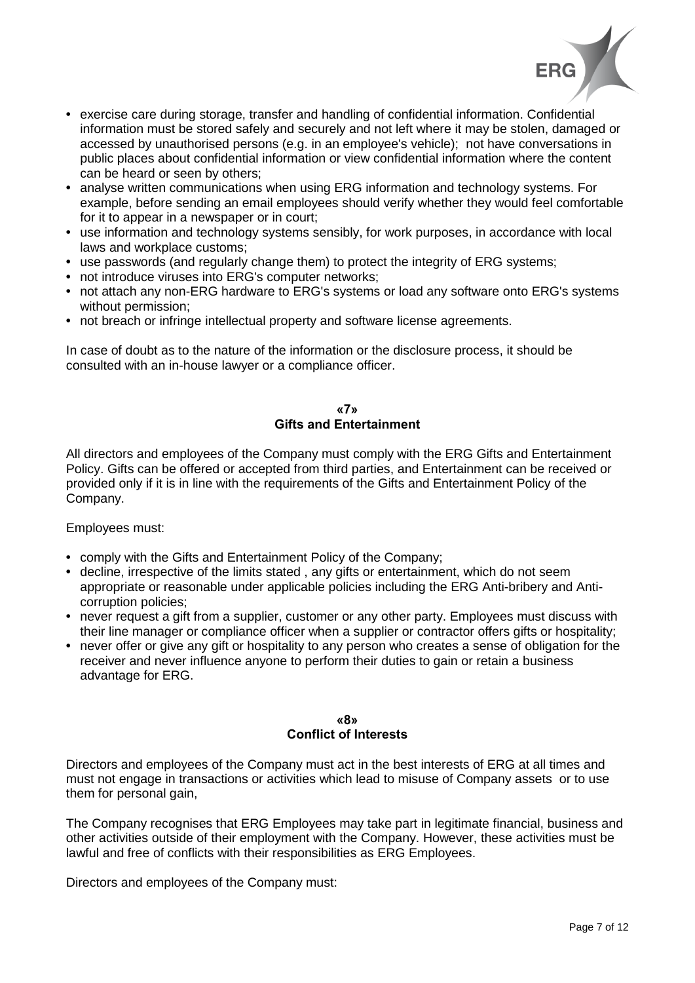

- **•** exercise care during storage, transfer and handling of confidential information. Confidential information must be stored safely and securely and not left where it may be stolen, damaged or accessed by unauthorised persons (e.g. in an employee's vehicle); not have conversations in public places about confidential information or view confidential information where the content can be heard or seen by others;
- **•** analyse written communications when using ERG information and technology systems. For example, before sending an email employees should verify whether they would feel comfortable for it to appear in a newspaper or in court;
- **•** use information and technology systems sensibly, for work purposes, in accordance with local laws and workplace customs;
- **•** use passwords (and regularly change them) to protect the integrity of ERG systems;
- **•** not introduce viruses into ERG's computer networks;
- **•** not attach any non-ERG hardware to ERG's systems or load any software onto ERG's systems without permission;
- **•** not breach or infringe intellectual property and software license agreements.

In case of doubt as to the nature of the information or the disclosure process, it should be consulted with an in-house lawyer or a compliance officer.

# **«7» Gifts and Entertainment**

All directors and employees of the Company must comply with the ERG Gifts and Entertainment Policy. Gifts can be offered or accepted from third parties, and Entertainment can be received or provided only if it is in line with the requirements of the Gifts and Entertainment Policy of the Company.

# Employees must:

- **•** comply with the Gifts and Entertainment Policy of the Company;
- **•** decline, irrespective of the limits stated , any gifts or entertainment, which do not seem appropriate or reasonable under applicable policies including the ERG Anti-bribery and Anticorruption policies;
- **•** never request a gift from a supplier, customer or any other party. Employees must discuss with their line manager or compliance officer when a supplier or contractor offers gifts or hospitality;
- **•** never offer or give any gift or hospitality to any person who creates a sense of obligation for the receiver and never influence anyone to perform their duties to gain or retain a business advantage for ERG.

## **«8» Conflict of Interests**

Directors and employees of the Company must act in the best interests of ERG at all times and must not engage in transactions or activities which lead to misuse of Company assets or to use them for personal gain,

The Company recognises that ERG Employees may take part in legitimate financial, business and other activities outside of their employment with the Company. However, these activities must be lawful and free of conflicts with their responsibilities as ERG Employees.

Directors and employees of the Company must: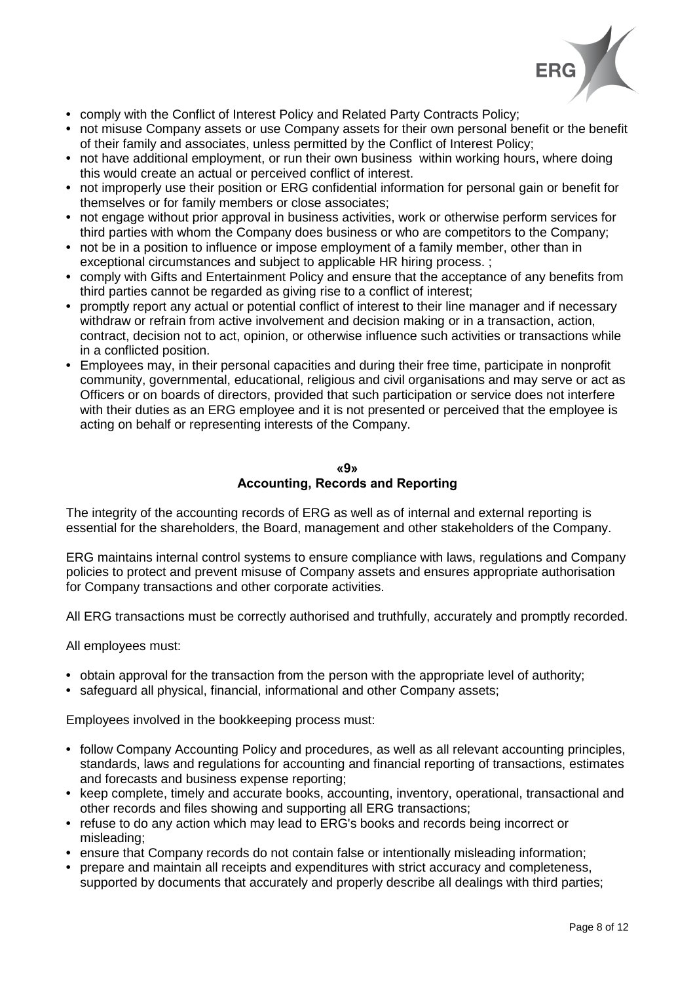

- **•** comply with the Conflict of Interest Policy and Related Party Contracts Policy;
- **•** not misuse Company assets or use Company assets for their own personal benefit or the benefit of their family and associates, unless permitted by the Conflict of Interest Policy;
- **•** not have additional employment, or run their own business within working hours, where doing this would create an actual or perceived conflict of interest.
- **•** not improperly use their position or ERG confidential information for personal gain or benefit for themselves or for family members or close associates;
- not engage without prior approval in business activities, work or otherwise perform services for third parties with whom the Company does business or who are competitors to the Company;
- **•** not be in a position to influence or impose employment of a family member, other than in exceptional circumstances and subject to applicable HR hiring process. ;
- **•** comply with Gifts and Entertainment Policy and ensure that the acceptance of any benefits from third parties cannot be regarded as giving rise to a conflict of interest;
- **•** promptly report any actual or potential conflict of interest to their line manager and if necessary withdraw or refrain from active involvement and decision making or in a transaction, action, contract, decision not to act, opinion, or otherwise influence such activities or transactions while in a conflicted position.
- **•** Employees may, in their personal capacities and during their free time, participate in nonprofit community, governmental, educational, religious and civil organisations and may serve or act as Officers or on boards of directors, provided that such participation or service does not interfere with their duties as an ERG employee and it is not presented or perceived that the employee is acting on behalf or representing interests of the Company.

## **«9» Accounting, Records and Reporting**

The integrity of the accounting records of ERG as well as of internal and external reporting is essential for the shareholders, the Board, management and other stakeholders of the Company.

ERG maintains internal control systems to ensure compliance with laws, regulations and Company policies to protect and prevent misuse of Company assets and ensures appropriate authorisation for Company transactions and other corporate activities.

All ERG transactions must be correctly authorised and truthfully, accurately and promptly recorded.

All employees must:

- **•** obtain approval for the transaction from the person with the appropriate level of authority;
- **•** safeguard all physical, financial, informational and other Company assets;

Employees involved in the bookkeeping process must:

- **•** follow Company Accounting Policy and procedures, as well as all relevant accounting principles, standards, laws and regulations for accounting and financial reporting of transactions, estimates and forecasts and business expense reporting;
- **•** keep complete, timely and accurate books, accounting, inventory, operational, transactional and other records and files showing and supporting all ERG transactions;
- **•** refuse to do any action which may lead to ERG's books and records being incorrect or misleading;
- **•** ensure that Company records do not contain false or intentionally misleading information;
- **•** prepare and maintain all receipts and expenditures with strict accuracy and completeness, supported by documents that accurately and properly describe all dealings with third parties;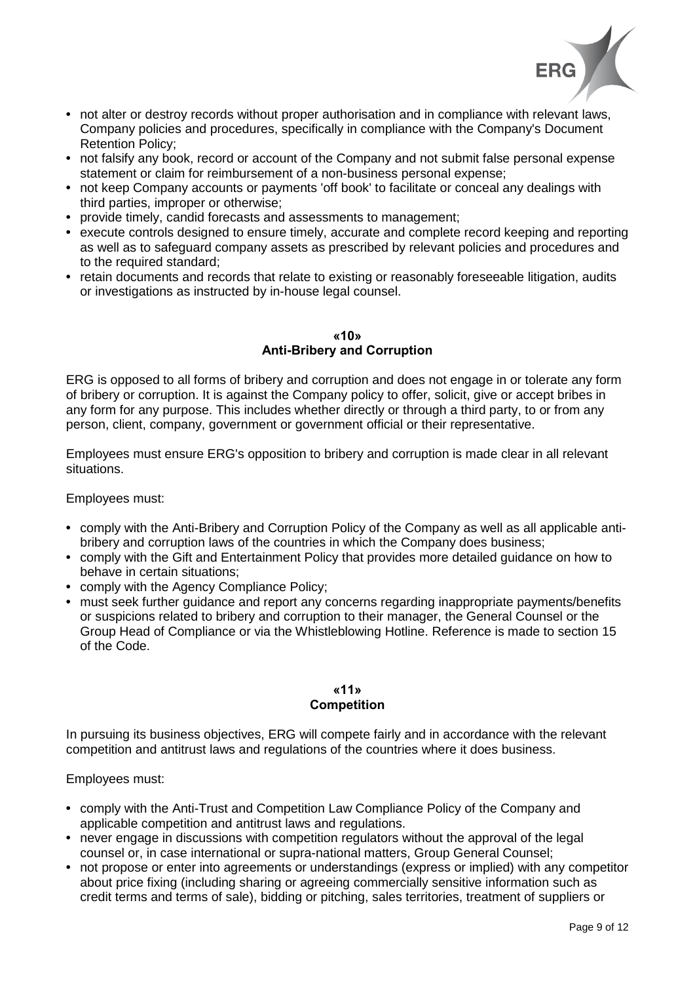

- not alter or destroy records without proper authorisation and in compliance with relevant laws, Company policies and procedures, specifically in compliance with the Company's Document Retention Policy;
- **•** not falsify any book, record or account of the Company and not submit false personal expense statement or claim for reimbursement of a non-business personal expense;
- **•** not keep Company accounts or payments 'off book' to facilitate or conceal any dealings with third parties, improper or otherwise;
- **•** provide timely, candid forecasts and assessments to management;
- **•** execute controls designed to ensure timely, accurate and complete record keeping and reporting as well as to safeguard company assets as prescribed by relevant policies and procedures and to the required standard;
- **•** retain documents and records that relate to existing or reasonably foreseeable litigation, audits or investigations as instructed by in-house legal counsel.

## **«10» Anti-Bribery and Corruption**

ERG is opposed to all forms of bribery and corruption and does not engage in or tolerate any form of bribery or corruption. It is against the Company policy to offer, solicit, give or accept bribes in any form for any purpose. This includes whether directly or through a third party, to or from any person, client, company, government or government official or their representative.

Employees must ensure ERG's opposition to bribery and corruption is made clear in all relevant situations.

Employees must:

- **•** comply with the Anti-Bribery and Corruption Policy of the Company as well as all applicable antibribery and corruption laws of the countries in which the Company does business;
- **•** comply with the Gift and Entertainment Policy that provides more detailed guidance on how to behave in certain situations;
- **•** comply with the Agency Compliance Policy;
- **•** must seek further guidance and report any concerns regarding inappropriate payments/benefits or suspicions related to bribery and corruption to their manager, the General Counsel or the Group Head of Compliance or via the Whistleblowing Hotline. Reference is made to section 15 of the Code.

#### **«11» Competition**

In pursuing its business objectives, ERG will compete fairly and in accordance with the relevant competition and antitrust laws and regulations of the countries where it does business.

- **•** comply with the Anti-Trust and Competition Law Compliance Policy of the Company and applicable competition and antitrust laws and regulations.
- never engage in discussions with competition regulators without the approval of the legal counsel or, in case international or supra-national matters, Group General Counsel;
- **•** not propose or enter into agreements or understandings (express or implied) with any competitor about price fixing (including sharing or agreeing commercially sensitive information such as credit terms and terms of sale), bidding or pitching, sales territories, treatment of suppliers or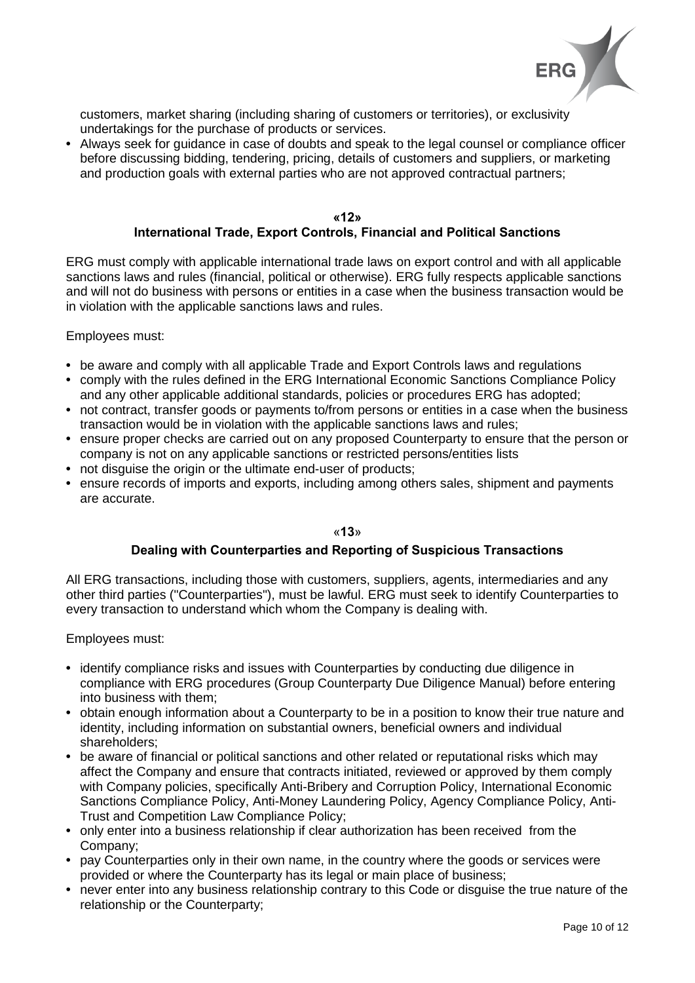

customers, market sharing (including sharing of customers or territories), or exclusivity undertakings for the purchase of products or services.

**•** Always seek for guidance in case of doubts and speak to the legal counsel or compliance officer before discussing bidding, tendering, pricing, details of customers and suppliers, or marketing and production goals with external parties who are not approved contractual partners;

## **«12» International Trade, Export Controls, Financial and Political Sanctions**

ERG must comply with applicable international trade laws on export control and with all applicable sanctions laws and rules (financial, political or otherwise). ERG fully respects applicable sanctions and will not do business with persons or entities in a case when the business transaction would be in violation with the applicable sanctions laws and rules.

Employees must:

- **•** be aware and comply with all applicable Trade and Export Controls laws and regulations
- **•** comply with the rules defined in the ERG International Economic Sanctions Compliance Policy and any other applicable additional standards, policies or procedures ERG has adopted;
- **•** not contract, transfer goods or payments to/from persons or entities in a case when the business transaction would be in violation with the applicable sanctions laws and rules;
- **•** ensure proper checks are carried out on any proposed Counterparty to ensure that the person or company is not on any applicable sanctions or restricted persons/entities lists
- not disquise the origin or the ultimate end-user of products:
- **•** ensure records of imports and exports, including among others sales, shipment and payments are accurate.

«**13**»

## **Dealing with Counterparties and Reporting of Suspicious Transactions**

All ERG transactions, including those with customers, suppliers, agents, intermediaries and any other third parties ("Counterparties"), must be lawful. ERG must seek to identify Counterparties to every transaction to understand which whom the Company is dealing with.

- **•** identify compliance risks and issues with Counterparties by conducting due diligence in compliance with ERG procedures (Group Counterparty Due Diligence Manual) before entering into business with them;
- **•** obtain enough information about a Counterparty to be in a position to know their true nature and identity, including information on substantial owners, beneficial owners and individual shareholders;
- **•** be aware of financial or political sanctions and other related or reputational risks which may affect the Company and ensure that contracts initiated, reviewed or approved by them comply with Company policies, specifically Anti-Bribery and Corruption Policy, International Economic Sanctions Compliance Policy, Anti-Money Laundering Policy, Agency Compliance Policy, Anti-Trust and Competition Law Compliance Policy;
- **•** only enter into a business relationship if clear authorization has been received from the Company;
- **•** pay Counterparties only in their own name, in the country where the goods or services were provided or where the Counterparty has its legal or main place of business;
- **•** never enter into any business relationship contrary to this Code or disguise the true nature of the relationship or the Counterparty;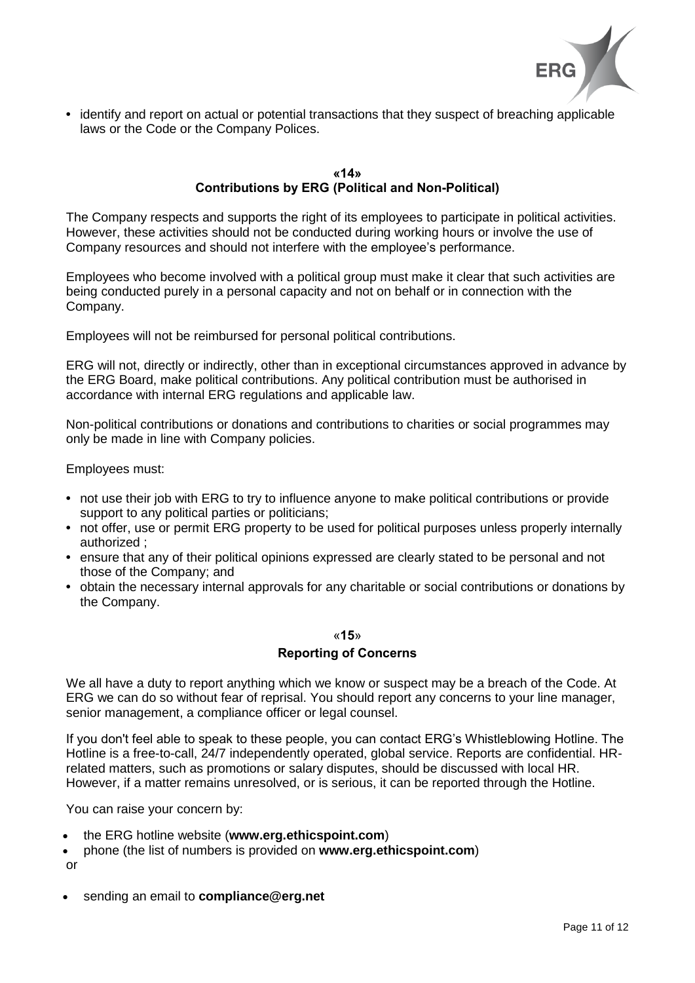

**•** identify and report on actual or potential transactions that they suspect of breaching applicable laws or the Code or the Company Polices.

# **«14» Contributions by ERG (Political and Non-Political)**

The Company respects and supports the right of its employees to participate in political activities. However, these activities should not be conducted during working hours or involve the use of Company resources and should not interfere with the employee's performance.

Employees who become involved with a political group must make it clear that such activities are being conducted purely in a personal capacity and not on behalf or in connection with the Company.

Employees will not be reimbursed for personal political contributions.

ERG will not, directly or indirectly, other than in exceptional circumstances approved in advance by the ERG Board, make political contributions. Any political contribution must be authorised in accordance with internal ERG regulations and applicable law.

Non-political contributions or donations and contributions to charities or social programmes may only be made in line with Company policies.

Employees must:

- **•** not use their job with ERG to try to influence anyone to make political contributions or provide support to any political parties or politicians;
- **•** not offer, use or permit ERG property to be used for political purposes unless properly internally authorized ;
- **•** ensure that any of their political opinions expressed are clearly stated to be personal and not those of the Company; and
- **•** obtain the necessary internal approvals for any charitable or social contributions or donations by the Company.

## «**15**»

# **Reporting of Concerns**

We all have a duty to report anything which we know or suspect may be a breach of the Code. At ERG we can do so without fear of reprisal. You should report any concerns to your line manager, senior management, a compliance officer or legal counsel.

If you don't feel able to speak to these people, you can contact ERG's Whistleblowing Hotline. The Hotline is a free-to-call, 24/7 independently operated, global service. Reports are confidential. HRrelated matters, such as promotions or salary disputes, should be discussed with local HR. However, if a matter remains unresolved, or is serious, it can be reported through the Hotline.

You can raise your concern by:

- the ERG hotline website (**[www.erg.ethicspoint.com](http://erg.ethicspoint.com/)**)
- phone (the list of numbers is provided on **[www.erg.ethicspoint.com](http://erg.ethicspoint.com/)**) or
- sending an email to **[compliance@erg.net](mailto:compliance@erg.net)**